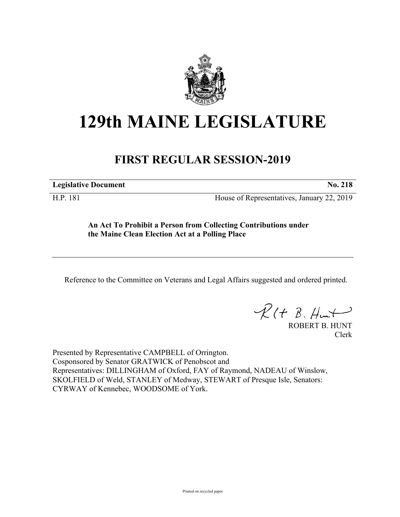

## **129th MAINE LEGISLATURE**

## **FIRST REGULAR SESSION-2019**

**Legislative Document No. 218**

H.P. 181 House of Representatives, January 22, 2019

**An Act To Prohibit a Person from Collecting Contributions under the Maine Clean Election Act at a Polling Place**

Reference to the Committee on Veterans and Legal Affairs suggested and ordered printed.

 $R(t B. Hmt)$ 

ROBERT B. HUNT Clerk

Presented by Representative CAMPBELL of Orrington. Cosponsored by Senator GRATWICK of Penobscot and Representatives: DILLINGHAM of Oxford, FAY of Raymond, NADEAU of Winslow, SKOLFIELD of Weld, STANLEY of Medway, STEWART of Presque Isle, Senators: CYRWAY of Kennebec, WOODSOME of York.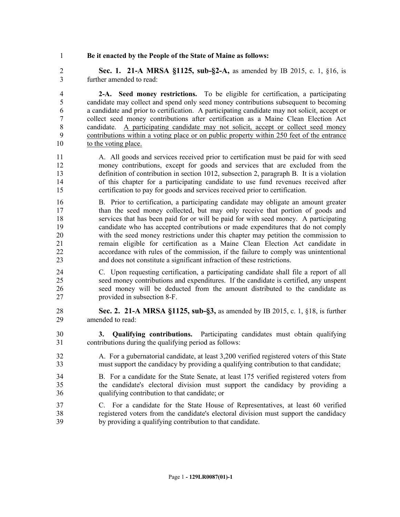## **Be it enacted by the People of the State of Maine as follows:**

 **Sec. 1. 21-A MRSA §1125, sub-§2-A,** as amended by IB 2015, c. 1, §16, is further amended to read:

 **2-A. Seed money restrictions.** To be eligible for certification, a participating candidate may collect and spend only seed money contributions subsequent to becoming a candidate and prior to certification. A participating candidate may not solicit, accept or collect seed money contributions after certification as a Maine Clean Election Act candidate. A participating candidate may not solicit, accept or collect seed money contributions within a voting place or on public property within 250 feet of the entrance to the voting place.

- A. All goods and services received prior to certification must be paid for with seed money contributions, except for goods and services that are excluded from the definition of contribution in section 1012, subsection 2, paragraph B. It is a violation of this chapter for a participating candidate to use fund revenues received after certification to pay for goods and services received prior to certification.
- B. Prior to certification, a participating candidate may obligate an amount greater than the seed money collected, but may only receive that portion of goods and services that has been paid for or will be paid for with seed money. A participating candidate who has accepted contributions or made expenditures that do not comply with the seed money restrictions under this chapter may petition the commission to remain eligible for certification as a Maine Clean Election Act candidate in accordance with rules of the commission, if the failure to comply was unintentional and does not constitute a significant infraction of these restrictions.
- C. Upon requesting certification, a participating candidate shall file a report of all seed money contributions and expenditures. If the candidate is certified, any unspent seed money will be deducted from the amount distributed to the candidate as provided in subsection 8-F.
- **Sec. 2. 21-A MRSA §1125, sub-§3,** as amended by IB 2015, c. 1, §18, is further amended to read:
- **3. Qualifying contributions.** Participating candidates must obtain qualifying contributions during the qualifying period as follows:
- A. For a gubernatorial candidate, at least 3,200 verified registered voters of this State must support the candidacy by providing a qualifying contribution to that candidate;
- B. For a candidate for the State Senate, at least 175 verified registered voters from the candidate's electoral division must support the candidacy by providing a qualifying contribution to that candidate; or
- C. For a candidate for the State House of Representatives, at least 60 verified registered voters from the candidate's electoral division must support the candidacy by providing a qualifying contribution to that candidate.